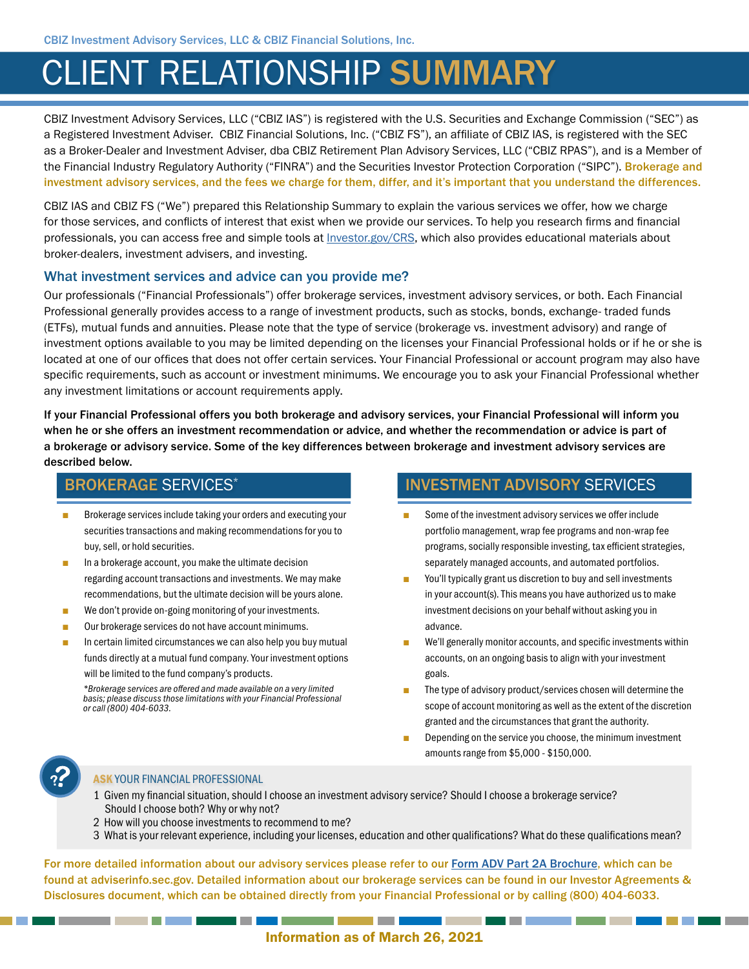# CLIENT RELATIONSHIP SUMMARY

CBIZ Investment Advisory Services, LLC ("CBIZ IAS") is registered with the U.S. Securities and Exchange Commission ("SEC") as a Registered Investment Adviser. CBIZ Financial Solutions, Inc. ("CBIZ FS"), an affiliate of CBIZ IAS, is registered with the SEC as a Broker-Dealer and Investment Adviser, dba CBIZ Retirement Plan Advisory Services, LLC ("CBIZ RPAS"), and is a Member of the Financial Industry Regulatory Authority ("FINRA") and the Securities Investor Protection Corporation ("SIPC"). Brokerage and investment advisory services, and the fees we charge for them, differ, and it's important that you understand the differences.

CBIZ IAS and CBIZ FS ("We") prepared this Relationship Summary to explain the various services we offer, how we charge for those services, and conflicts of interest that exist when we provide our services. To help you research firms and financial professionals, you can access free and simple tools at *Investor.gov/CRS*, which also provides educational materials about broker-dealers, investment advisers, and investing.

#### What investment services and advice can you provide me?

Our professionals ("Financial Professionals") offer brokerage services, investment advisory services, or both. Each Financial Professional generally provides access to a range of investment products, such as stocks, bonds, exchange- traded funds (ETFs), mutual funds and annuities. Please note that the type of service (brokerage vs. investment advisory) and range of investment options available to you may be limited depending on the licenses your Financial Professional holds or if he or she is located at one of our offices that does not offer certain services. Your Financial Professional or account program may also have specific requirements, such as account or investment minimums. We encourage you to ask your Financial Professional whether any investment limitations or account requirements apply.

If your Financial Professional offers you both brokerage and advisory services, your Financial Professional will inform you when he or she offers an investment recommendation or advice, and whether the recommendation or advice is part of a brokerage or advisory service. Some of the key differences between brokerage and investment advisory services are described below.

## BROKERAGE SERVICES\*

- Brokerage services include taking your orders and executing your securities transactions and making recommendations for you to buy, sell, or hold securities.
- In a brokerage account, you make the ultimate decision regarding account transactions and investments. We may make recommendations, but the ultimate decision will be yours alone.
- We don't provide on-going monitoring of your investments.
- Our brokerage services do not have account minimums.

In certain limited circumstances we can also help you buy mutual funds directly at a mutual fund company. Your investment options will be limited to the fund company's products.

*\*Brokerage services are offered and made available on a very limited basis; please discuss those limitations with your Financial Professional or call (800) 404-6033.*

## INVESTMENT ADVISORY SERVICES

- Some of the investment advisory services we offer include portfolio management, wrap fee programs and non-wrap fee programs, socially responsible investing, tax efficient strategies, separately managed accounts, and automated portfolios.
- You'll typically grant us discretion to buy and sell investments in your account(s). This means you have authorized us to make investment decisions on your behalf without asking you in advance.
- We'll generally monitor accounts, and specific investments within accounts, on an ongoing basis to align with your investment goals.
- The type of advisory product/services chosen will determine the scope of account monitoring as well as the extent of the discretion granted and the circumstances that grant the authority.
- Depending on the service you choose, the minimum investment amounts range from \$5,000 - \$150,000.

<u> Tantan di Kabupatén Bandung Bandung Bandung Bandung Bandung Bandung Bandung Bandung Bandung Bandung Bandung Bandung Bandung Bandung Bandung Bandung Bandung Bandung Bandung Bandung Bandung Bandung Bandung Bandung Bandung </u>



#### ASK YOUR FINANCIAL PROFESSIONAL

- 1 Given my financial situation, should I choose an investment advisory service? Should I choose a brokerage service? Should I choose both? Why or why not?
- 2 How will you choose investments to recommend to me?
- 3 What is your relevant experience, including your licenses, education and other qualifications? What do these qualifications mean?

For more detailed information about our advisory services please refer to our [Form ADV Part 2A Brochure,](https://adviserinfo.sec.gov/firm/brochure/286002) which can be found at adviserinfo.sec.gov. Detailed information about our brokerage services can be found in our Investor Agreements & Disclosures document, which can be obtained directly from your Financial Professional or by calling (800) 404-6033.

and the control of the control of

## Information as of March 26, 2021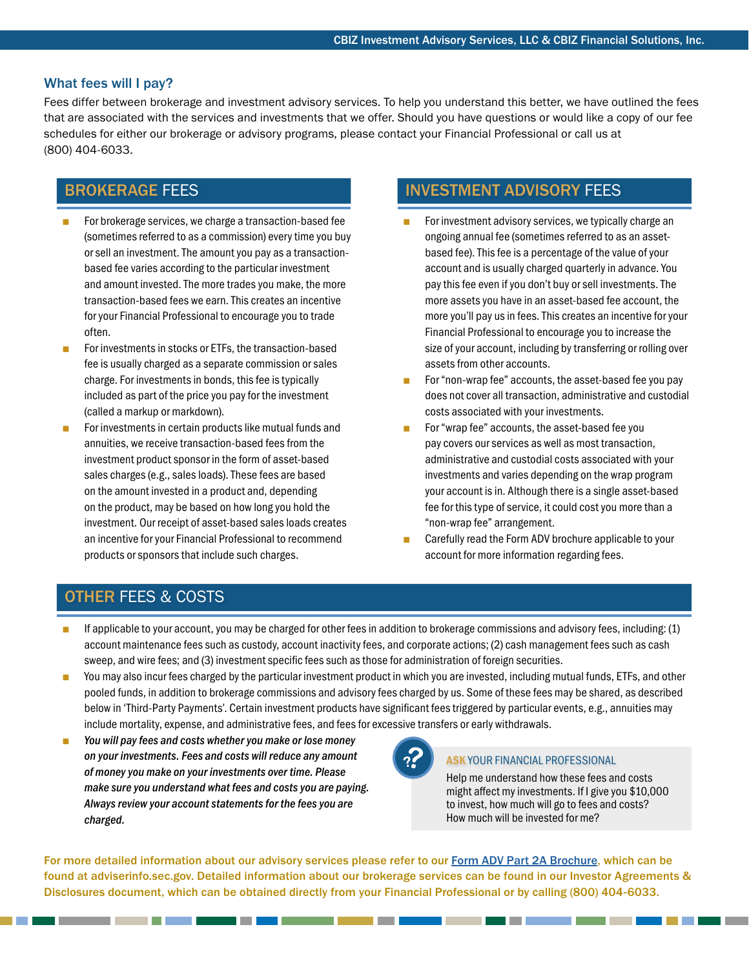#### What fees will I pay?

Fees differ between brokerage and investment advisory services. To help you understand this better, we have outlined the fees that are associated with the services and investments that we offer. Should you have questions or would like a copy of our fee schedules for either our brokerage or advisory programs, please contact your Financial Professional or call us at (800) 404-6033.

# BROKERAGE FEES

- For brokerage services, we charge a transaction-based fee (sometimes referred to as a commission) every time you buy or sell an investment. The amount you pay as a transactionbased fee varies according to the particular investment and amount invested. The more trades you make, the more transaction-based fees we earn. This creates an incentive for your Financial Professional to encourage you to trade often.
- For investments in stocks or ETFs, the transaction-based fee is usually charged as a separate commission or sales charge. For investments in bonds, this fee is typically included as part of the price you pay for the investment (called a markup or markdown).
- For investments in certain products like mutual funds and annuities, we receive transaction-based fees from the investment product sponsor in the form of asset-based sales charges (e.g., sales loads). These fees are based on the amount invested in a product and, depending on the product, may be based on how long you hold the investment. Our receipt of asset-based sales loads creates an incentive for your Financial Professional to recommend products or sponsors that include such charges.

# INVESTMENT ADVISORY FEES

- For investment advisory services, we typically charge an ongoing annual fee (sometimes referred to as an assetbased fee). This fee is a percentage of the value of your account and is usually charged quarterly in advance. You pay this fee even if you don't buy or sell investments. The more assets you have in an asset-based fee account, the more you'll pay us in fees. This creates an incentive for your Financial Professional to encourage you to increase the size of your account, including by transferring or rolling over assets from other accounts.
- For "non-wrap fee" accounts, the asset-based fee you pay does not cover all transaction, administrative and custodial costs associated with your investments.
- For "wrap fee" accounts, the asset-based fee you pay covers our services as well as most transaction, administrative and custodial costs associated with your investments and varies depending on the wrap program your account is in. Although there is a single asset-based fee for this type of service, it could cost you more than a "non-wrap fee" arrangement.
- Carefully read the Form ADV brochure applicable to your account for more information regarding fees.

# OTHER FEES & COSTS

- If applicable to your account, you may be charged for other fees in addition to brokerage commissions and advisory fees, including: (1) account maintenance fees such as custody, account inactivity fees, and corporate actions; (2) cash management fees such as cash sweep, and wire fees; and (3) investment specific fees such as those for administration of foreign securities.
- You may also incur fees charged by the particular investment product in which you are invested, including mutual funds, ETFs, and other pooled funds, in addition to brokerage commissions and advisory fees charged by us. Some of these fees may be shared, as described below in 'Third-Party Payments'. Certain investment products have significant fees triggered by particular events, e.g., annuities may include mortality, expense, and administrative fees, and fees for excessive transfers or early withdrawals.
- You will pay fees and costs whether you make or lose money *on your investments. Fees and costs will reduce any amount of money you make on your investments over time. Please make sure you understand what fees and costs you are paying. Always review your account statements for the fees you are charged.*

\_\_\_\_\_\_\_\_\_

#### **ASK YOUR FINANCIAL PROFESSIONAL**

Help me understand how these fees and costs might affect my investments. If I give you \$10,000 to invest, how much will go to fees and costs? How much will be invested for me?

For more detailed information about our advisory services please refer to our [Form ADV Part 2A Brochure,](https://adviserinfo.sec.gov/firm/brochure/286002) which can be found at adviserinfo.sec.gov. Detailed information about our brokerage services can be found in our Investor Agreements & Disclosures document, which can be obtained directly from your Financial Professional or by calling (800) 404-6033.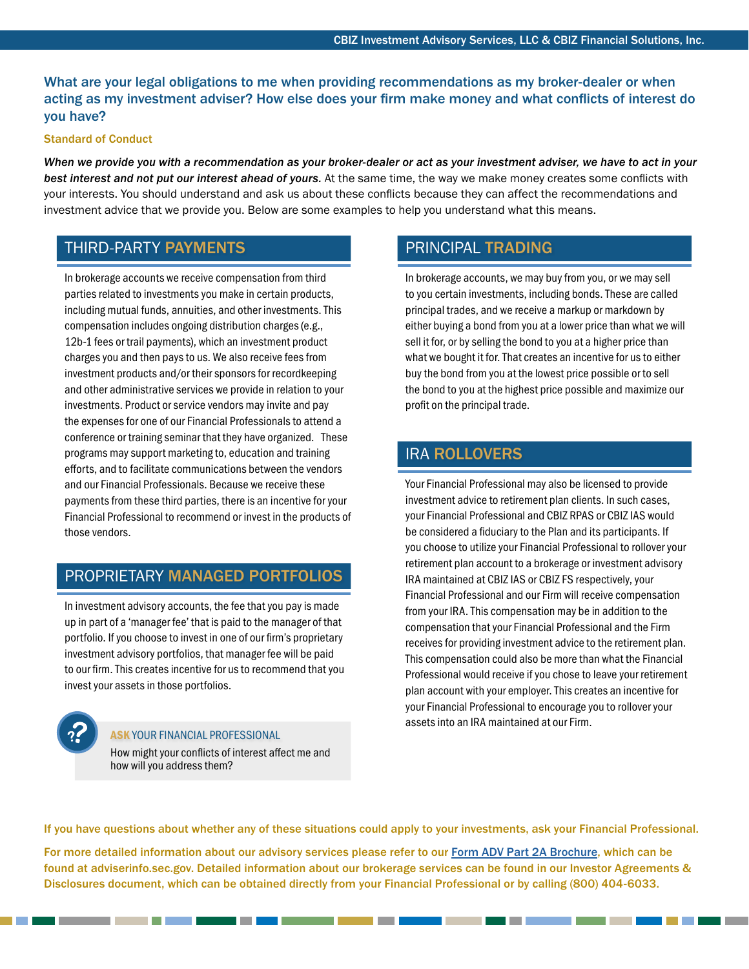What are your legal obligations to me when providing recommendations as my broker-dealer or when acting as my investment adviser? How else does your firm make money and what conflicts of interest do you have?

#### Standard of Conduct

*When we provide you with a recommendation as your broker-dealer or act as your investment adviser, we have to act in your best interest and not put our interest ahead of yours.* At the same time, the way we make money creates some conflicts with your interests. You should understand and ask us about these conflicts because they can affect the recommendations and investment advice that we provide you. Below are some examples to help you understand what this means.

# THIRD-PARTY PAYMENTS

In brokerage accounts we receive compensation from third parties related to investments you make in certain products, including mutual funds, annuities, and other investments. This compensation includes ongoing distribution charges (e.g., 12b-1 fees or trail payments), which an investment product charges you and then pays to us. We also receive fees from investment products and/or their sponsors for recordkeeping and other administrative services we provide in relation to your investments. Product or service vendors may invite and pay the expenses for one of our Financial Professionals to attend a conference or training seminar that they have organized. These programs may support marketing to, education and training efforts, and to facilitate communications between the vendors and our Financial Professionals. Because we receive these payments from these third parties, there is an incentive for your Financial Professional to recommend or invest in the products of those vendors.

## PROPRIETARY MANAGED PORTFOLIOS

In investment advisory accounts, the fee that you pay is made up in part of a 'manager fee' that is paid to the manager of that portfolio. If you choose to invest in one of our firm's proprietary investment advisory portfolios, that manager fee will be paid to our firm. This creates incentive for us to recommend that you invest your assets in those portfolios.

## ASK YOUR FINANCIAL PROFESSIONAL

How might your conflicts of interest affect me and how will you address them?

\_\_\_\_\_\_\_\_\_

# PRINCIPAL TRADING

In brokerage accounts, we may buy from you, or we may sell to you certain investments, including bonds. These are called principal trades, and we receive a markup or markdown by either buying a bond from you at a lower price than what we will sell it for, or by selling the bond to you at a higher price than what we bought it for. That creates an incentive for us to either buy the bond from you at the lowest price possible or to sell the bond to you at the highest price possible and maximize our profit on the principal trade.

## IRA ROLLOVERS

Your Financial Professional may also be licensed to provide investment advice to retirement plan clients. In such cases, your Financial Professional and CBIZ RPAS or CBIZ IAS would be considered a fiduciary to the Plan and its participants. If you choose to utilize your Financial Professional to rollover your retirement plan account to a brokerage or investment advisory IRA maintained at CBIZ IAS or CBIZ FS respectively, your Financial Professional and our Firm will receive compensation from your IRA. This compensation may be in addition to the compensation that your Financial Professional and the Firm receives for providing investment advice to the retirement plan. This compensation could also be more than what the Financial Professional would receive if you chose to leave your retirement plan account with your employer. This creates an incentive for your Financial Professional to encourage you to rollover your assets into an IRA maintained at our Firm.

If you have questions about whether any of these situations could apply to your investments, ask your Financial Professional.

For more detailed information about our advisory services please refer to our [Form ADV Part 2A Brochure,](https://adviserinfo.sec.gov/firm/brochure/286002) which can be found at adviserinfo.sec.gov. Detailed information about our brokerage services can be found in our Investor Agreements & Disclosures document, which can be obtained directly from your Financial Professional or by calling (800) 404-6033.